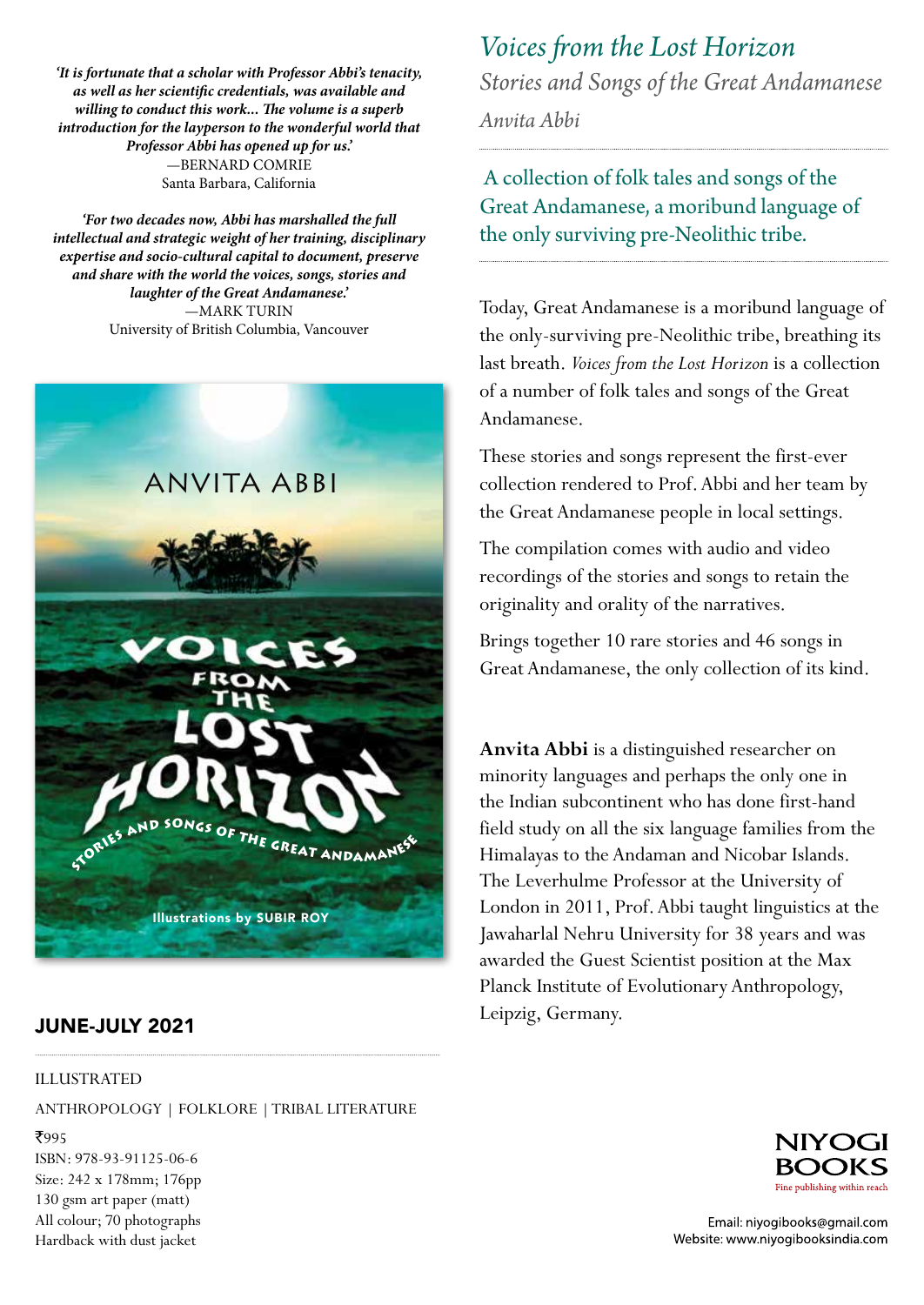*'It is fortunate that a scholar with Professor Abbi's tenacity, as well as her scientific credentials, was available and willing to conduct this work... The volume is a superb introduction for the layperson to the wonderful world that Professor Abbi has opened up for us.'* —BERNARD COMRIE Santa Barbara, California

*'For two decades now, Abbi has marshalled the full intellectual and strategic weight of her training, disciplinary expertise and socio-cultural capital to document, preserve and share with the world the voices, songs, stories and laughter of the Great Andamanese.'* —MARK TURIN University of British Columbia, Vancouver



## JUNE-JULY 2021

## ILLUSTRATED

ANTHROPOLOGY | FOLKLORE | TRIBAL LITERATURE

₹995 ISBN: 978-93-91125-06-6 Size: 242 x 178mm; 176pp 130 gsm art paper (matt) All colour; 70 photographs Hardback with dust jacket

## *Voices from the Lost Horizon*

*Stories and Songs of the Great Andamanese*

*Anvita Abbi*

 A collection of folk tales and songs of the Great Andamanese, a moribund language of the only surviving pre-Neolithic tribe.

Today, Great Andamanese is a moribund language of the only-surviving pre-Neolithic tribe, breathing its last breath. *Voices from the Lost Horizon* is a collection of a number of folk tales and songs of the Great Andamanese. The Andaman Islam

These stories and songs represent the first-ever collection rendered to Prof. Abbi and her team by the Great Andamanese people in local settings.

The compilation comes with audio and video recordings of the stories and songs to retain the originality and orality of the narratives.  $\mathbf{C}$ 

Brings together 10 rare stories and 46 songs in Great Andamanese, the only collection of its kind.

Anvita Abbi is a distinguished researcher on minority languages and perhaps the only one in the Indian subcontinent who has done first-hand field study on all the six language families from the Himalayas to the Andaman and Nicobar Islands. The Leverhulme Professor at the University of London in 2011, Prof. Abbi taught linguistics at the Jawaharlal Nehru University for 38 years and was awarded the Guest Scientist position at the Max Planck Institute of Evolutionary Anthropology, Leipzig, Germany.



Email: niyogibooks@gmail.com Website: www.niyogibooksindia.com